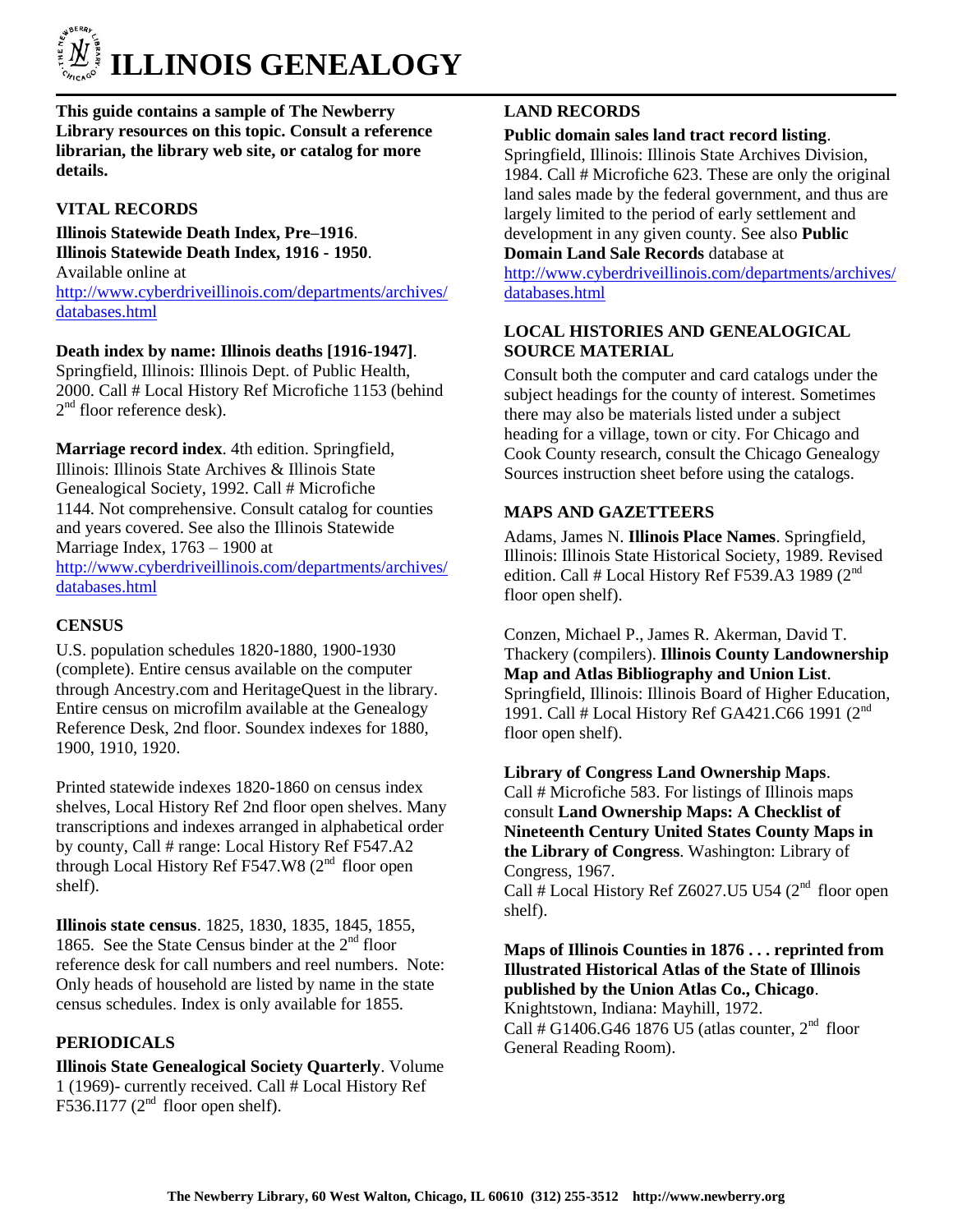

**This guide contains a sample of The Newberry Library resources on this topic. Consult a reference librarian, the library web site, or catalog for more details.**

# **VITAL RECORDS**

#### **Illinois Statewide Death Index, Pre–1916**. **Illinois Statewide Death Index, 1916 - 1950**.

Available online at [http://www.cyberdriveillinois.com/departments/archives/](http://www.cyberdriveillinois.com/departments/archives/databases.html) [databases.html](http://www.cyberdriveillinois.com/departments/archives/databases.html)

**Death index by name: Illinois deaths [1916-1947]**.

Springfield, Illinois: Illinois Dept. of Public Health, 2000. Call # Local History Ref Microfiche 1153 (behind 2<sup>nd</sup> floor reference desk).

**Marriage record index**. 4th edition. Springfield, Illinois: Illinois State Archives & Illinois State Genealogical Society, 1992. Call # Microfiche 1144. Not comprehensive. Consult catalog for counties and years covered. See also the Illinois Statewide Marriage Index, 1763 – 1900 at [http://www.cyberdriveillinois.com/departments/archives/](http://www.cyberdriveillinois.com/departments/archives/databases.html) [databases.html](http://www.cyberdriveillinois.com/departments/archives/databases.html)

### **CENSUS**

U.S. population schedules 1820-1880, 1900-1930 (complete). Entire census available on the computer through Ancestry.com and HeritageQuest in the library. Entire census on microfilm available at the Genealogy Reference Desk, 2nd floor. Soundex indexes for 1880, 1900, 1910, 1920.

Printed statewide indexes 1820-1860 on census index shelves, Local History Ref 2nd floor open shelves. Many transcriptions and indexes arranged in alphabetical order by county, Call # range: Local History Ref F547.A2 through Local History Ref F547.W8  $(2<sup>nd</sup>$  floor open shelf).

**Illinois state census**. 1825, 1830, 1835, 1845, 1855, 1865. See the State Census binder at the  $2<sup>nd</sup>$  floor reference desk for call numbers and reel numbers. Note: Only heads of household are listed by name in the state census schedules. Index is only available for 1855.

# **PERIODICALS**

**Illinois State Genealogical Society Quarterly**. Volume 1 (1969)- currently received. Call # Local History Ref F536.I177 ( $2<sup>nd</sup>$  floor open shelf).

### **LAND RECORDS**

### **Public domain sales land tract record listing**.

Springfield, Illinois: Illinois State Archives Division, 1984. Call # Microfiche 623. These are only the original land sales made by the federal government, and thus are largely limited to the period of early settlement and development in any given county. See also **Public Domain Land Sale Records** database at

[http://www.cyberdriveillinois.com/departments/archives/](http://www.cyberdriveillinois.com/departments/archives/databases.html) [databases.html](http://www.cyberdriveillinois.com/departments/archives/databases.html)

# **LOCAL HISTORIES AND GENEALOGICAL SOURCE MATERIAL**

Consult both the computer and card catalogs under the subject headings for the county of interest. Sometimes there may also be materials listed under a subject heading for a village, town or city. For Chicago and Cook County research, consult the Chicago Genealogy Sources instruction sheet before using the catalogs.

# **MAPS AND GAZETTEERS**

Adams, James N. **Illinois Place Names**. Springfield, Illinois: Illinois State Historical Society, 1989. Revised edition. Call # Local History Ref F539.A3 1989  $(2^{nd}$ floor open shelf).

Conzen, Michael P., James R. Akerman, David T. Thackery (compilers). **Illinois County Landownership Map and Atlas Bibliography and Union List**. Springfield, Illinois: Illinois Board of Higher Education, 1991. Call # Local History Ref GA421.C66 1991 (2nd floor open shelf).

**Library of Congress Land Ownership Maps**. Call # Microfiche 583. For listings of Illinois maps consult **Land Ownership Maps: A Checklist of Nineteenth Century United States County Maps in the Library of Congress**. Washington: Library of Congress, 1967. Call # Local History Ref Z6027.U5 U54  $(2<sup>nd</sup>$  floor open shelf).

**Maps of Illinois Counties in 1876 . . . reprinted from Illustrated Historical Atlas of the State of Illinois published by the Union Atlas Co., Chicago**. Knightstown, Indiana: Mayhill, 1972. Call # G1406.G46 1876 U5 (atlas counter,  $2<sup>nd</sup>$  floor General Reading Room).